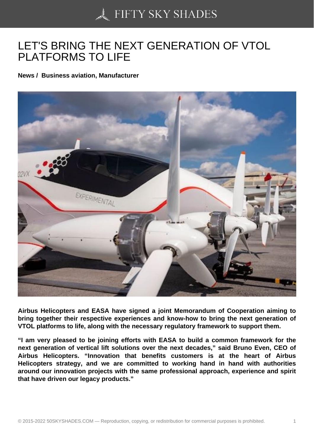## [LET'S BRING THE NE](https://50skyshades.com)XT GENERATION OF VTOL PLATFORMS TO LIFE

News / Business aviation, Manufacturer

Airbus Helicopters and EASA have signed a joint Memorandum of Cooperation aiming to bring together their respective experiences and know-how to bring the next generation of VTOL platforms to life, along with the necessary regulatory framework to support them.

"I am very pleased to be joining efforts with EASA to build a common framework for the next generation of vertical lift solutions over the next decades," said Bruno Even, CEO of Airbus Helicopters. "Innovation that benefits customers is at the heart of Airbus Helicopters strategy, and we are committed to working hand in hand with authorities around our innovation projects with the same professional approach, experience and spirit that have driven our legacy products."